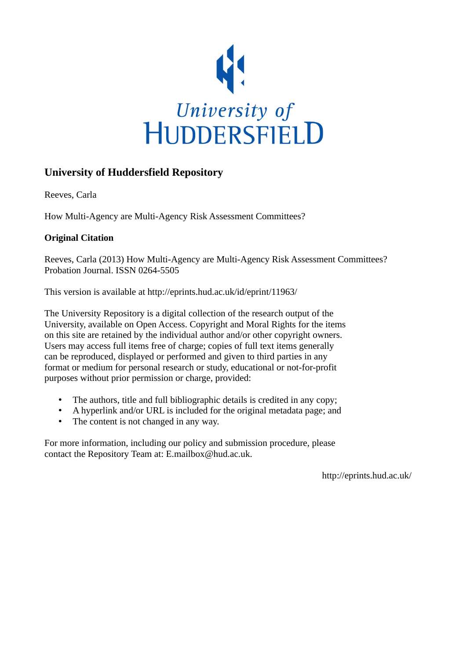

# **University of Huddersfield Repository**

Reeves, Carla

How Multi-Agency are Multi-Agency Risk Assessment Committees?

# **Original Citation**

Reeves, Carla (2013) How Multi-Agency are Multi-Agency Risk Assessment Committees? Probation Journal. ISSN 0264-5505

This version is available at http://eprints.hud.ac.uk/id/eprint/11963/

The University Repository is a digital collection of the research output of the University, available on Open Access. Copyright and Moral Rights for the items on this site are retained by the individual author and/or other copyright owners. Users may access full items free of charge; copies of full text items generally can be reproduced, displayed or performed and given to third parties in any format or medium for personal research or study, educational or not-for-profit purposes without prior permission or charge, provided:

- The authors, title and full bibliographic details is credited in any copy;
- A hyperlink and/or URL is included for the original metadata page; and
- The content is not changed in any way.

For more information, including our policy and submission procedure, please contact the Repository Team at: E.mailbox@hud.ac.uk.

http://eprints.hud.ac.uk/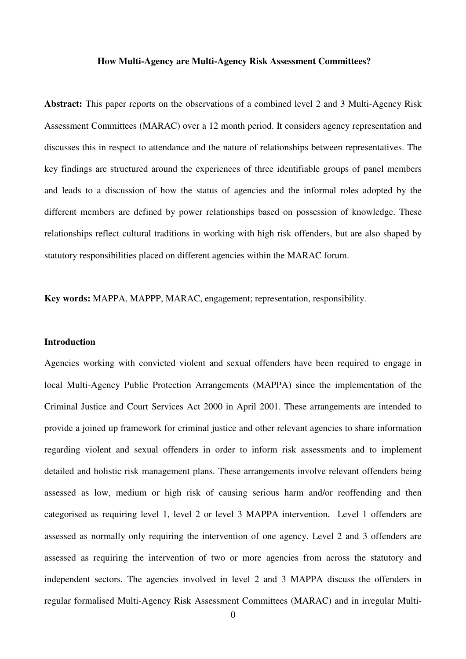#### **How Multi-Agency are Multi-Agency Risk Assessment Committees?**

**Abstract:** This paper reports on the observations of a combined level 2 and 3 Multi-Agency Risk Assessment Committees (MARAC) over a 12 month period. It considers agency representation and discusses this in respect to attendance and the nature of relationships between representatives. The key findings are structured around the experiences of three identifiable groups of panel members and leads to a discussion of how the status of agencies and the informal roles adopted by the different members are defined by power relationships based on possession of knowledge. These relationships reflect cultural traditions in working with high risk offenders, but are also shaped by statutory responsibilities placed on different agencies within the MARAC forum.

**Key words:** MAPPA, MAPPP, MARAC, engagement; representation, responsibility.

# **Introduction**

Agencies working with convicted violent and sexual offenders have been required to engage in local Multi-Agency Public Protection Arrangements (MAPPA) since the implementation of the Criminal Justice and Court Services Act 2000 in April 2001. These arrangements are intended to provide a joined up framework for criminal justice and other relevant agencies to share information regarding violent and sexual offenders in order to inform risk assessments and to implement detailed and holistic risk management plans. These arrangements involve relevant offenders being assessed as low, medium or high risk of causing serious harm and/or reoffending and then categorised as requiring level 1, level 2 or level 3 MAPPA intervention. Level 1 offenders are assessed as normally only requiring the intervention of one agency. Level 2 and 3 offenders are assessed as requiring the intervention of two or more agencies from across the statutory and independent sectors. The agencies involved in level 2 and 3 MAPPA discuss the offenders in regular formalised Multi-Agency Risk Assessment Committees (MARAC) and in irregular Multi-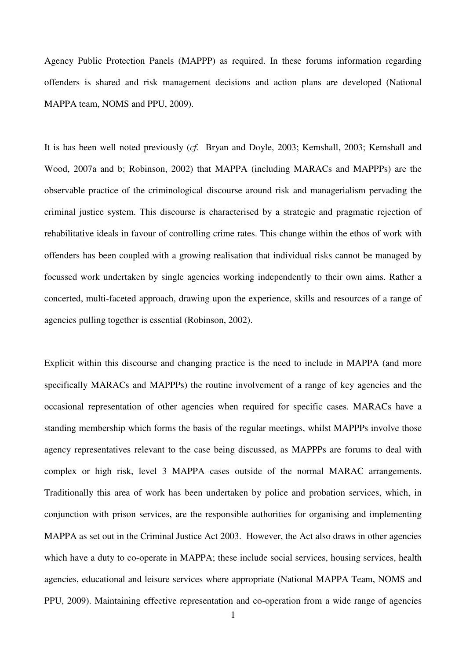Agency Public Protection Panels (MAPPP) as required. In these forums information regarding offenders is shared and risk management decisions and action plans are developed (National MAPPA team, NOMS and PPU, 2009).

It is has been well noted previously (*cf.* Bryan and Doyle, 2003; Kemshall, 2003; Kemshall and Wood, 2007a and b; Robinson, 2002) that MAPPA (including MARACs and MAPPPs) are the observable practice of the criminological discourse around risk and managerialism pervading the criminal justice system. This discourse is characterised by a strategic and pragmatic rejection of rehabilitative ideals in favour of controlling crime rates. This change within the ethos of work with offenders has been coupled with a growing realisation that individual risks cannot be managed by focussed work undertaken by single agencies working independently to their own aims. Rather a concerted, multi-faceted approach, drawing upon the experience, skills and resources of a range of agencies pulling together is essential (Robinson, 2002).

Explicit within this discourse and changing practice is the need to include in MAPPA (and more specifically MARACs and MAPPPs) the routine involvement of a range of key agencies and the occasional representation of other agencies when required for specific cases. MARACs have a standing membership which forms the basis of the regular meetings, whilst MAPPPs involve those agency representatives relevant to the case being discussed, as MAPPPs are forums to deal with complex or high risk, level 3 MAPPA cases outside of the normal MARAC arrangements. Traditionally this area of work has been undertaken by police and probation services, which, in conjunction with prison services, are the responsible authorities for organising and implementing MAPPA as set out in the Criminal Justice Act 2003. However, the Act also draws in other agencies which have a duty to co-operate in MAPPA; these include social services, housing services, health agencies, educational and leisure services where appropriate (National MAPPA Team, NOMS and PPU, 2009). Maintaining effective representation and co-operation from a wide range of agencies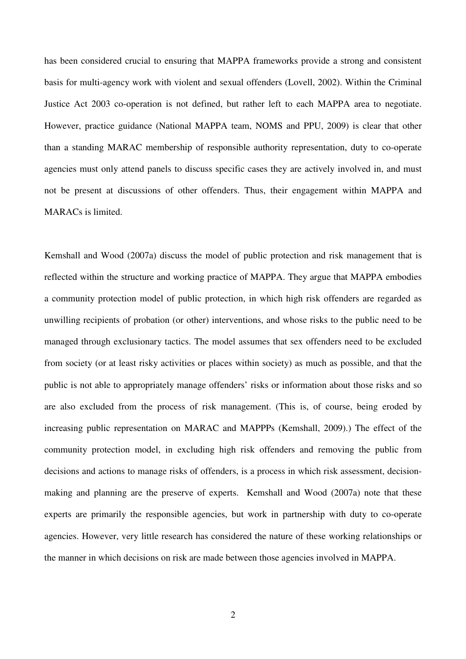has been considered crucial to ensuring that MAPPA frameworks provide a strong and consistent basis for multi-agency work with violent and sexual offenders (Lovell, 2002). Within the Criminal Justice Act 2003 co-operation is not defined, but rather left to each MAPPA area to negotiate. However, practice guidance (National MAPPA team, NOMS and PPU, 2009) is clear that other than a standing MARAC membership of responsible authority representation, duty to co-operate agencies must only attend panels to discuss specific cases they are actively involved in, and must not be present at discussions of other offenders. Thus, their engagement within MAPPA and MARACs is limited.

Kemshall and Wood (2007a) discuss the model of public protection and risk management that is reflected within the structure and working practice of MAPPA. They argue that MAPPA embodies a community protection model of public protection, in which high risk offenders are regarded as unwilling recipients of probation (or other) interventions, and whose risks to the public need to be managed through exclusionary tactics. The model assumes that sex offenders need to be excluded from society (or at least risky activities or places within society) as much as possible, and that the public is not able to appropriately manage offenders' risks or information about those risks and so are also excluded from the process of risk management. (This is, of course, being eroded by increasing public representation on MARAC and MAPPPs (Kemshall, 2009).) The effect of the community protection model, in excluding high risk offenders and removing the public from decisions and actions to manage risks of offenders, is a process in which risk assessment, decisionmaking and planning are the preserve of experts. Kemshall and Wood (2007a) note that these experts are primarily the responsible agencies, but work in partnership with duty to co-operate agencies. However, very little research has considered the nature of these working relationships or the manner in which decisions on risk are made between those agencies involved in MAPPA.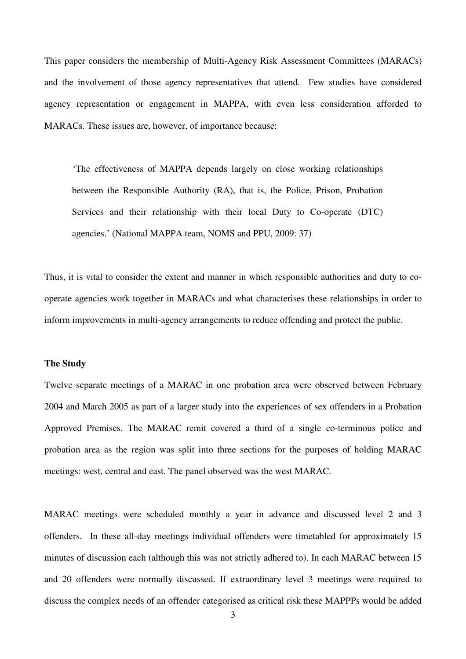This paper considers the membership of Multi-Agency Risk Assessment Committees (MARACs) and the involvement of those agency representatives that attend. Few studies have considered agency representation or engagement in MAPPA, with even less consideration afforded to MARACs. These issues are, however, of importance because:

 'The effectiveness of MAPPA depends largely on close working relationships between the Responsible Authority (RA), that is, the Police, Prison, Probation Services and their relationship with their local Duty to Co-operate (DTC) agencies.' (National MAPPA team, NOMS and PPU, 2009: 37)

Thus, it is vital to consider the extent and manner in which responsible authorities and duty to cooperate agencies work together in MARACs and what characterises these relationships in order to inform improvements in multi-agency arrangements to reduce offending and protect the public.

#### **The Study**

Twelve separate meetings of a MARAC in one probation area were observed between February 2004 and March 2005 as part of a larger study into the experiences of sex offenders in a Probation Approved Premises. The MARAC remit covered a third of a single co-terminous police and probation area as the region was split into three sections for the purposes of holding MARAC meetings: west, central and east. The panel observed was the west MARAC.

MARAC meetings were scheduled monthly a year in advance and discussed level 2 and 3 offenders. In these all-day meetings individual offenders were timetabled for approximately 15 minutes of discussion each (although this was not strictly adhered to). In each MARAC between 15 and 20 offenders were normally discussed. If extraordinary level 3 meetings were required to discuss the complex needs of an offender categorised as critical risk these MAPPPs would be added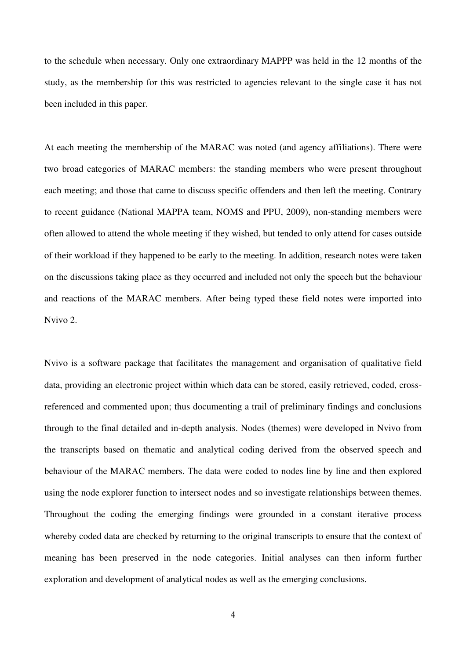to the schedule when necessary. Only one extraordinary MAPPP was held in the 12 months of the study, as the membership for this was restricted to agencies relevant to the single case it has not been included in this paper.

At each meeting the membership of the MARAC was noted (and agency affiliations). There were two broad categories of MARAC members: the standing members who were present throughout each meeting; and those that came to discuss specific offenders and then left the meeting. Contrary to recent guidance (National MAPPA team, NOMS and PPU, 2009), non-standing members were often allowed to attend the whole meeting if they wished, but tended to only attend for cases outside of their workload if they happened to be early to the meeting. In addition, research notes were taken on the discussions taking place as they occurred and included not only the speech but the behaviour and reactions of the MARAC members. After being typed these field notes were imported into Nvivo 2.

Nvivo is a software package that facilitates the management and organisation of qualitative field data, providing an electronic project within which data can be stored, easily retrieved, coded, crossreferenced and commented upon; thus documenting a trail of preliminary findings and conclusions through to the final detailed and in-depth analysis. Nodes (themes) were developed in Nvivo from the transcripts based on thematic and analytical coding derived from the observed speech and behaviour of the MARAC members. The data were coded to nodes line by line and then explored using the node explorer function to intersect nodes and so investigate relationships between themes. Throughout the coding the emerging findings were grounded in a constant iterative process whereby coded data are checked by returning to the original transcripts to ensure that the context of meaning has been preserved in the node categories. Initial analyses can then inform further exploration and development of analytical nodes as well as the emerging conclusions.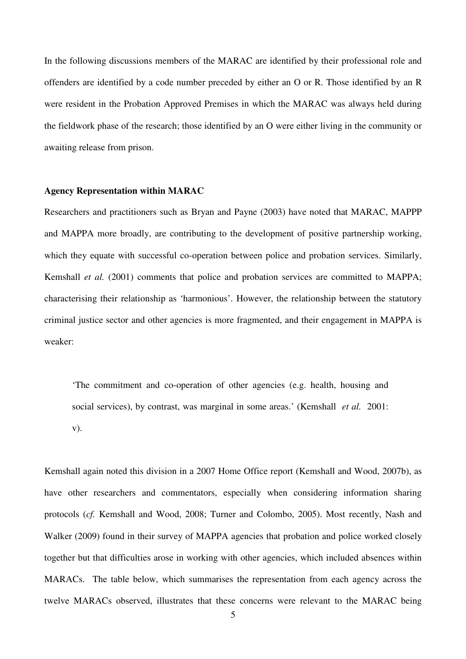In the following discussions members of the MARAC are identified by their professional role and offenders are identified by a code number preceded by either an O or R. Those identified by an R were resident in the Probation Approved Premises in which the MARAC was always held during the fieldwork phase of the research; those identified by an O were either living in the community or awaiting release from prison.

# **Agency Representation within MARAC**

Researchers and practitioners such as Bryan and Payne (2003) have noted that MARAC, MAPPP and MAPPA more broadly, are contributing to the development of positive partnership working, which they equate with successful co-operation between police and probation services. Similarly, Kemshall *et al.* (2001) comments that police and probation services are committed to MAPPA; characterising their relationship as 'harmonious'. However, the relationship between the statutory criminal justice sector and other agencies is more fragmented, and their engagement in MAPPA is weaker:

'The commitment and co-operation of other agencies (e.g. health, housing and social services), by contrast, was marginal in some areas.' (Kemshall *et al.* 2001: v).

Kemshall again noted this division in a 2007 Home Office report (Kemshall and Wood, 2007b), as have other researchers and commentators, especially when considering information sharing protocols (*cf.* Kemshall and Wood, 2008; Turner and Colombo, 2005). Most recently, Nash and Walker (2009) found in their survey of MAPPA agencies that probation and police worked closely together but that difficulties arose in working with other agencies, which included absences within MARACs. The table below, which summarises the representation from each agency across the twelve MARACs observed, illustrates that these concerns were relevant to the MARAC being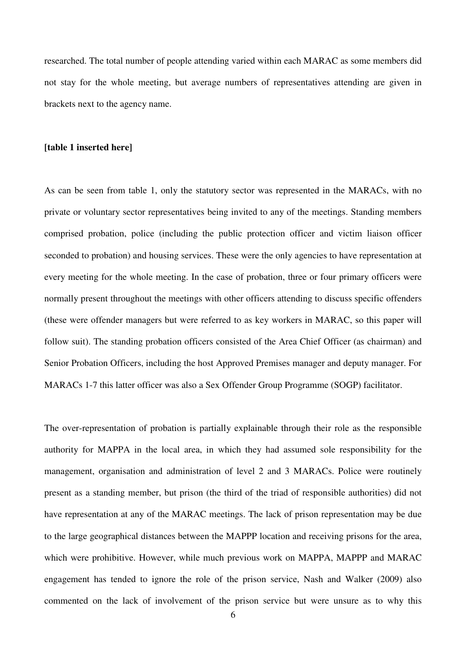researched. The total number of people attending varied within each MARAC as some members did not stay for the whole meeting, but average numbers of representatives attending are given in brackets next to the agency name.

#### **[table 1 inserted here]**

As can be seen from table 1, only the statutory sector was represented in the MARACs, with no private or voluntary sector representatives being invited to any of the meetings. Standing members comprised probation, police (including the public protection officer and victim liaison officer seconded to probation) and housing services. These were the only agencies to have representation at every meeting for the whole meeting. In the case of probation, three or four primary officers were normally present throughout the meetings with other officers attending to discuss specific offenders (these were offender managers but were referred to as key workers in MARAC, so this paper will follow suit). The standing probation officers consisted of the Area Chief Officer (as chairman) and Senior Probation Officers, including the host Approved Premises manager and deputy manager. For MARACs 1-7 this latter officer was also a Sex Offender Group Programme (SOGP) facilitator.

The over-representation of probation is partially explainable through their role as the responsible authority for MAPPA in the local area, in which they had assumed sole responsibility for the management, organisation and administration of level 2 and 3 MARACs. Police were routinely present as a standing member, but prison (the third of the triad of responsible authorities) did not have representation at any of the MARAC meetings. The lack of prison representation may be due to the large geographical distances between the MAPPP location and receiving prisons for the area, which were prohibitive. However, while much previous work on MAPPA, MAPPP and MARAC engagement has tended to ignore the role of the prison service, Nash and Walker (2009) also commented on the lack of involvement of the prison service but were unsure as to why this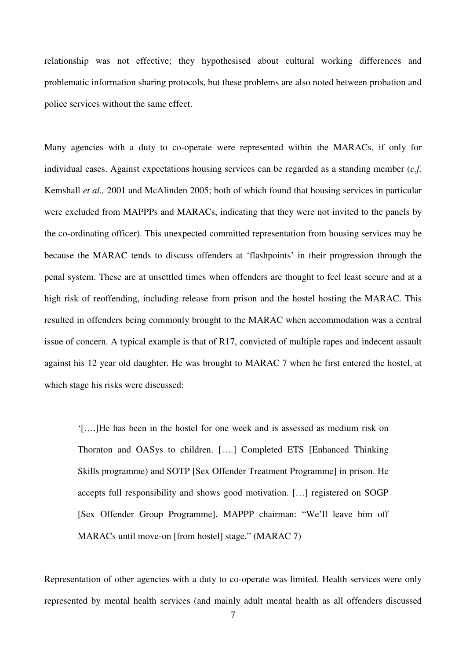relationship was not effective; they hypothesised about cultural working differences and problematic information sharing protocols, but these problems are also noted between probation and police services without the same effect.

Many agencies with a duty to co-operate were represented within the MARACs, if only for individual cases. Against expectations housing services can be regarded as a standing member (*c.f.* Kemshall *et al.,* 2001 and McAlinden 2005; both of which found that housing services in particular were excluded from MAPPPs and MARACs, indicating that they were not invited to the panels by the co-ordinating officer). This unexpected committed representation from housing services may be because the MARAC tends to discuss offenders at 'flashpoints' in their progression through the penal system. These are at unsettled times when offenders are thought to feel least secure and at a high risk of reoffending, including release from prison and the hostel hosting the MARAC. This resulted in offenders being commonly brought to the MARAC when accommodation was a central issue of concern. A typical example is that of R17, convicted of multiple rapes and indecent assault against his 12 year old daughter. He was brought to MARAC 7 when he first entered the hostel, at which stage his risks were discussed:

'[….]He has been in the hostel for one week and is assessed as medium risk on Thornton and OASys to children. [….] Completed ETS [Enhanced Thinking Skills programme) and SOTP [Sex Offender Treatment Programme] in prison. He accepts full responsibility and shows good motivation. […] registered on SOGP [Sex Offender Group Programme]. MAPPP chairman: "We'll leave him off MARACs until move-on [from hostel] stage." (MARAC 7)

Representation of other agencies with a duty to co-operate was limited. Health services were only represented by mental health services (and mainly adult mental health as all offenders discussed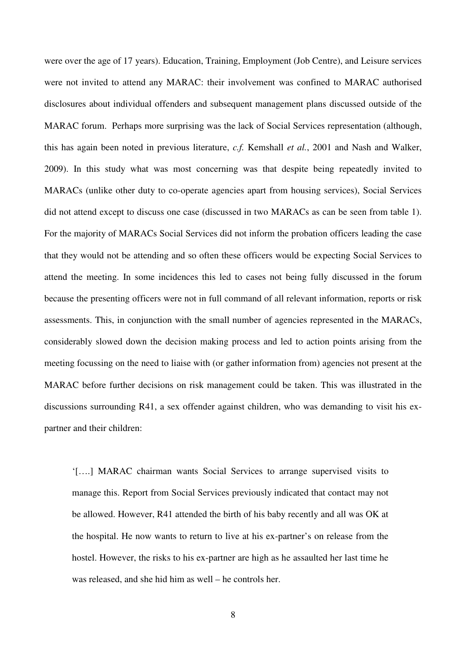were over the age of 17 years). Education, Training, Employment (Job Centre), and Leisure services were not invited to attend any MARAC: their involvement was confined to MARAC authorised disclosures about individual offenders and subsequent management plans discussed outside of the MARAC forum. Perhaps more surprising was the lack of Social Services representation (although, this has again been noted in previous literature, *c.f.* Kemshall *et al.*, 2001 and Nash and Walker, 2009). In this study what was most concerning was that despite being repeatedly invited to MARACs (unlike other duty to co-operate agencies apart from housing services), Social Services did not attend except to discuss one case (discussed in two MARACs as can be seen from table 1). For the majority of MARACs Social Services did not inform the probation officers leading the case that they would not be attending and so often these officers would be expecting Social Services to attend the meeting. In some incidences this led to cases not being fully discussed in the forum because the presenting officers were not in full command of all relevant information, reports or risk assessments. This, in conjunction with the small number of agencies represented in the MARACs, considerably slowed down the decision making process and led to action points arising from the meeting focussing on the need to liaise with (or gather information from) agencies not present at the MARAC before further decisions on risk management could be taken. This was illustrated in the discussions surrounding R41, a sex offender against children, who was demanding to visit his expartner and their children:

'[….] MARAC chairman wants Social Services to arrange supervised visits to manage this. Report from Social Services previously indicated that contact may not be allowed. However, R41 attended the birth of his baby recently and all was OK at the hospital. He now wants to return to live at his ex-partner's on release from the hostel. However, the risks to his ex-partner are high as he assaulted her last time he was released, and she hid him as well – he controls her.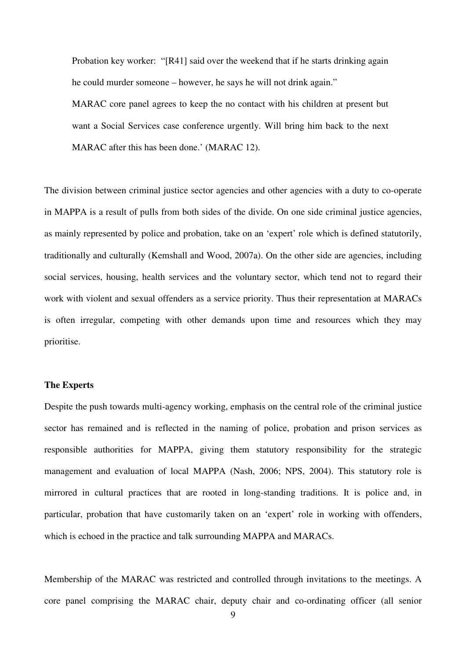Probation key worker: "[R41] said over the weekend that if he starts drinking again he could murder someone – however, he says he will not drink again."

MARAC core panel agrees to keep the no contact with his children at present but want a Social Services case conference urgently. Will bring him back to the next MARAC after this has been done.' (MARAC 12).

The division between criminal justice sector agencies and other agencies with a duty to co-operate in MAPPA is a result of pulls from both sides of the divide. On one side criminal justice agencies, as mainly represented by police and probation, take on an 'expert' role which is defined statutorily, traditionally and culturally (Kemshall and Wood, 2007a). On the other side are agencies, including social services, housing, health services and the voluntary sector, which tend not to regard their work with violent and sexual offenders as a service priority. Thus their representation at MARACs is often irregular, competing with other demands upon time and resources which they may prioritise.

# **The Experts**

Despite the push towards multi-agency working, emphasis on the central role of the criminal justice sector has remained and is reflected in the naming of police, probation and prison services as responsible authorities for MAPPA, giving them statutory responsibility for the strategic management and evaluation of local MAPPA (Nash, 2006; NPS, 2004). This statutory role is mirrored in cultural practices that are rooted in long-standing traditions. It is police and, in particular, probation that have customarily taken on an 'expert' role in working with offenders, which is echoed in the practice and talk surrounding MAPPA and MARACs.

Membership of the MARAC was restricted and controlled through invitations to the meetings. A core panel comprising the MARAC chair, deputy chair and co-ordinating officer (all senior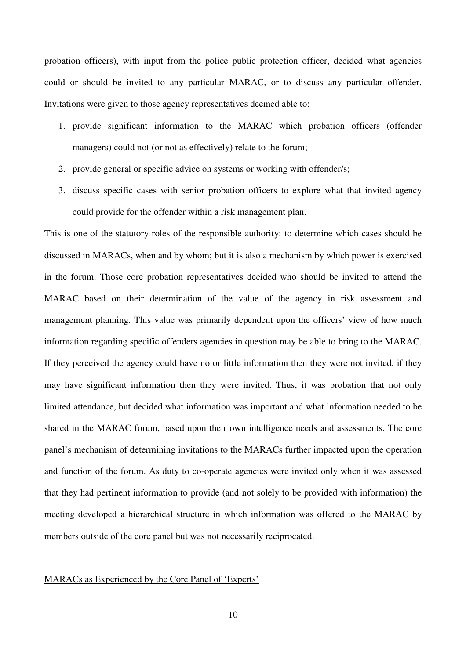probation officers), with input from the police public protection officer, decided what agencies could or should be invited to any particular MARAC, or to discuss any particular offender. Invitations were given to those agency representatives deemed able to:

- 1. provide significant information to the MARAC which probation officers (offender managers) could not (or not as effectively) relate to the forum;
- 2. provide general or specific advice on systems or working with offender/s;
- 3. discuss specific cases with senior probation officers to explore what that invited agency could provide for the offender within a risk management plan.

This is one of the statutory roles of the responsible authority: to determine which cases should be discussed in MARACs, when and by whom; but it is also a mechanism by which power is exercised in the forum. Those core probation representatives decided who should be invited to attend the MARAC based on their determination of the value of the agency in risk assessment and management planning. This value was primarily dependent upon the officers' view of how much information regarding specific offenders agencies in question may be able to bring to the MARAC. If they perceived the agency could have no or little information then they were not invited, if they may have significant information then they were invited. Thus, it was probation that not only limited attendance, but decided what information was important and what information needed to be shared in the MARAC forum, based upon their own intelligence needs and assessments. The core panel's mechanism of determining invitations to the MARACs further impacted upon the operation and function of the forum. As duty to co-operate agencies were invited only when it was assessed that they had pertinent information to provide (and not solely to be provided with information) the meeting developed a hierarchical structure in which information was offered to the MARAC by members outside of the core panel but was not necessarily reciprocated.

# MARACs as Experienced by the Core Panel of 'Experts'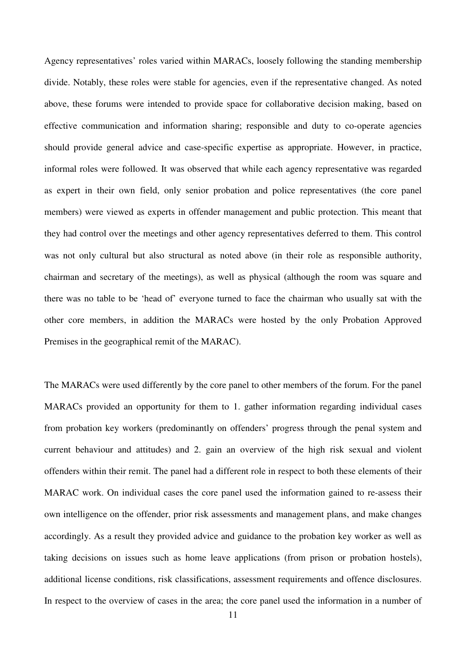Agency representatives' roles varied within MARACs, loosely following the standing membership divide. Notably, these roles were stable for agencies, even if the representative changed. As noted above, these forums were intended to provide space for collaborative decision making, based on effective communication and information sharing; responsible and duty to co-operate agencies should provide general advice and case-specific expertise as appropriate. However, in practice, informal roles were followed. It was observed that while each agency representative was regarded as expert in their own field, only senior probation and police representatives (the core panel members) were viewed as experts in offender management and public protection. This meant that they had control over the meetings and other agency representatives deferred to them. This control was not only cultural but also structural as noted above (in their role as responsible authority, chairman and secretary of the meetings), as well as physical (although the room was square and there was no table to be 'head of' everyone turned to face the chairman who usually sat with the other core members, in addition the MARACs were hosted by the only Probation Approved Premises in the geographical remit of the MARAC).

The MARACs were used differently by the core panel to other members of the forum. For the panel MARACs provided an opportunity for them to 1. gather information regarding individual cases from probation key workers (predominantly on offenders' progress through the penal system and current behaviour and attitudes) and 2. gain an overview of the high risk sexual and violent offenders within their remit. The panel had a different role in respect to both these elements of their MARAC work. On individual cases the core panel used the information gained to re-assess their own intelligence on the offender, prior risk assessments and management plans, and make changes accordingly. As a result they provided advice and guidance to the probation key worker as well as taking decisions on issues such as home leave applications (from prison or probation hostels), additional license conditions, risk classifications, assessment requirements and offence disclosures. In respect to the overview of cases in the area; the core panel used the information in a number of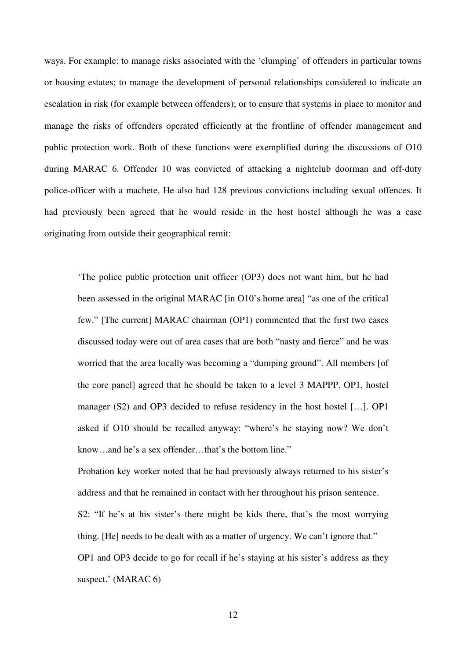ways. For example: to manage risks associated with the 'clumping' of offenders in particular towns or housing estates; to manage the development of personal relationships considered to indicate an escalation in risk (for example between offenders); or to ensure that systems in place to monitor and manage the risks of offenders operated efficiently at the frontline of offender management and public protection work. Both of these functions were exemplified during the discussions of O10 during MARAC 6. Offender 10 was convicted of attacking a nightclub doorman and off-duty police-officer with a machete, He also had 128 previous convictions including sexual offences. It had previously been agreed that he would reside in the host hostel although he was a case originating from outside their geographical remit:

'The police public protection unit officer (OP3) does not want him, but he had been assessed in the original MARAC [in O10's home area] "as one of the critical few." [The current] MARAC chairman (OP1) commented that the first two cases discussed today were out of area cases that are both "nasty and fierce" and he was worried that the area locally was becoming a "dumping ground". All members [of the core panel] agreed that he should be taken to a level 3 MAPPP. OP1, hostel manager (S2) and OP3 decided to refuse residency in the host hostel [...]. OP1 asked if O10 should be recalled anyway: "where's he staying now? We don't know…and he's a sex offender…that's the bottom line."

Probation key worker noted that he had previously always returned to his sister's address and that he remained in contact with her throughout his prison sentence. S2: "If he's at his sister's there might be kids there, that's the most worrying thing. [He] needs to be dealt with as a matter of urgency. We can't ignore that." OP1 and OP3 decide to go for recall if he's staying at his sister's address as they suspect.' (MARAC 6)

12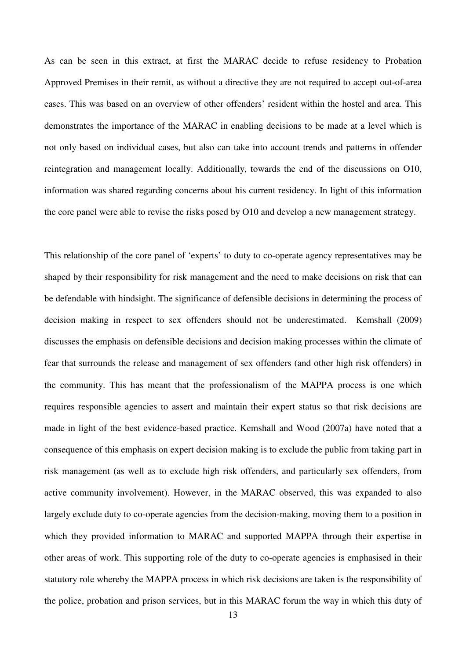As can be seen in this extract, at first the MARAC decide to refuse residency to Probation Approved Premises in their remit, as without a directive they are not required to accept out-of-area cases. This was based on an overview of other offenders' resident within the hostel and area. This demonstrates the importance of the MARAC in enabling decisions to be made at a level which is not only based on individual cases, but also can take into account trends and patterns in offender reintegration and management locally. Additionally, towards the end of the discussions on O10, information was shared regarding concerns about his current residency. In light of this information the core panel were able to revise the risks posed by O10 and develop a new management strategy.

This relationship of the core panel of 'experts' to duty to co-operate agency representatives may be shaped by their responsibility for risk management and the need to make decisions on risk that can be defendable with hindsight. The significance of defensible decisions in determining the process of decision making in respect to sex offenders should not be underestimated. Kemshall (2009) discusses the emphasis on defensible decisions and decision making processes within the climate of fear that surrounds the release and management of sex offenders (and other high risk offenders) in the community. This has meant that the professionalism of the MAPPA process is one which requires responsible agencies to assert and maintain their expert status so that risk decisions are made in light of the best evidence-based practice. Kemshall and Wood (2007a) have noted that a consequence of this emphasis on expert decision making is to exclude the public from taking part in risk management (as well as to exclude high risk offenders, and particularly sex offenders, from active community involvement). However, in the MARAC observed, this was expanded to also largely exclude duty to co-operate agencies from the decision-making, moving them to a position in which they provided information to MARAC and supported MAPPA through their expertise in other areas of work. This supporting role of the duty to co-operate agencies is emphasised in their statutory role whereby the MAPPA process in which risk decisions are taken is the responsibility of the police, probation and prison services, but in this MARAC forum the way in which this duty of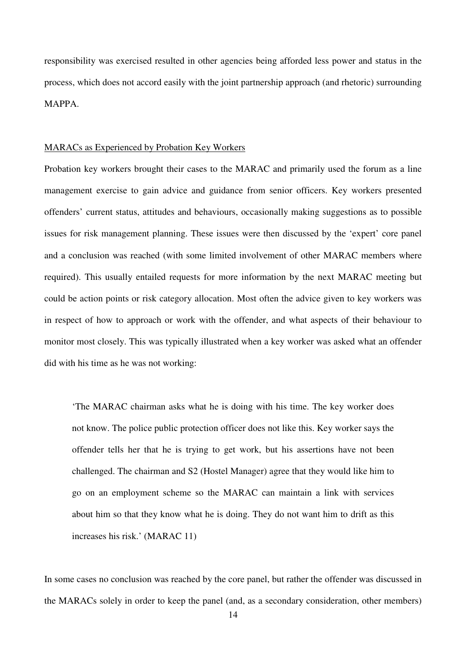responsibility was exercised resulted in other agencies being afforded less power and status in the process, which does not accord easily with the joint partnership approach (and rhetoric) surrounding MAPPA.

### MARACs as Experienced by Probation Key Workers

Probation key workers brought their cases to the MARAC and primarily used the forum as a line management exercise to gain advice and guidance from senior officers. Key workers presented offenders' current status, attitudes and behaviours, occasionally making suggestions as to possible issues for risk management planning. These issues were then discussed by the 'expert' core panel and a conclusion was reached (with some limited involvement of other MARAC members where required). This usually entailed requests for more information by the next MARAC meeting but could be action points or risk category allocation. Most often the advice given to key workers was in respect of how to approach or work with the offender, and what aspects of their behaviour to monitor most closely. This was typically illustrated when a key worker was asked what an offender did with his time as he was not working:

'The MARAC chairman asks what he is doing with his time. The key worker does not know. The police public protection officer does not like this. Key worker says the offender tells her that he is trying to get work, but his assertions have not been challenged. The chairman and S2 (Hostel Manager) agree that they would like him to go on an employment scheme so the MARAC can maintain a link with services about him so that they know what he is doing. They do not want him to drift as this increases his risk.' (MARAC 11)

In some cases no conclusion was reached by the core panel, but rather the offender was discussed in the MARACs solely in order to keep the panel (and, as a secondary consideration, other members)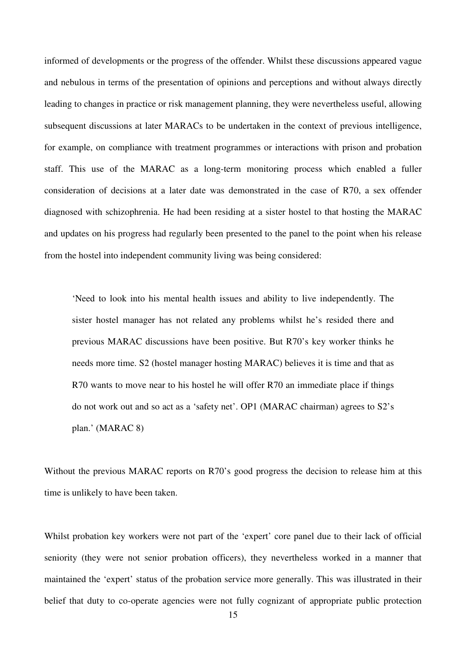informed of developments or the progress of the offender. Whilst these discussions appeared vague and nebulous in terms of the presentation of opinions and perceptions and without always directly leading to changes in practice or risk management planning, they were nevertheless useful, allowing subsequent discussions at later MARACs to be undertaken in the context of previous intelligence, for example, on compliance with treatment programmes or interactions with prison and probation staff. This use of the MARAC as a long-term monitoring process which enabled a fuller consideration of decisions at a later date was demonstrated in the case of R70, a sex offender diagnosed with schizophrenia. He had been residing at a sister hostel to that hosting the MARAC and updates on his progress had regularly been presented to the panel to the point when his release from the hostel into independent community living was being considered:

'Need to look into his mental health issues and ability to live independently. The sister hostel manager has not related any problems whilst he's resided there and previous MARAC discussions have been positive. But R70's key worker thinks he needs more time. S2 (hostel manager hosting MARAC) believes it is time and that as R70 wants to move near to his hostel he will offer R70 an immediate place if things do not work out and so act as a 'safety net'. OP1 (MARAC chairman) agrees to S2's plan.' (MARAC 8)

Without the previous MARAC reports on R70's good progress the decision to release him at this time is unlikely to have been taken.

Whilst probation key workers were not part of the 'expert' core panel due to their lack of official seniority (they were not senior probation officers), they nevertheless worked in a manner that maintained the 'expert' status of the probation service more generally. This was illustrated in their belief that duty to co-operate agencies were not fully cognizant of appropriate public protection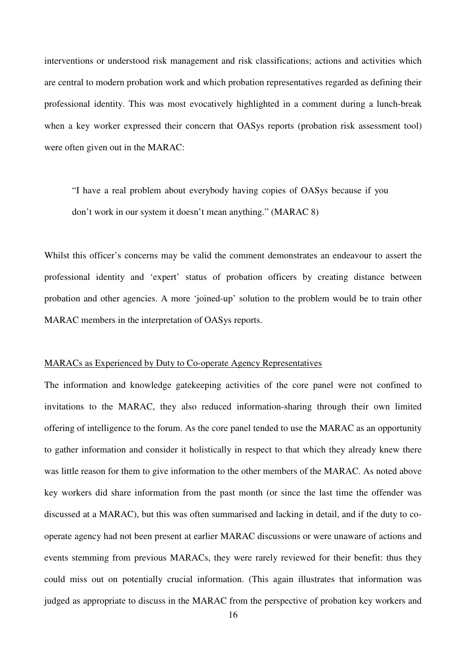interventions or understood risk management and risk classifications; actions and activities which are central to modern probation work and which probation representatives regarded as defining their professional identity. This was most evocatively highlighted in a comment during a lunch-break when a key worker expressed their concern that OASys reports (probation risk assessment tool) were often given out in the MARAC:

"I have a real problem about everybody having copies of OASys because if you don't work in our system it doesn't mean anything." (MARAC 8)

Whilst this officer's concerns may be valid the comment demonstrates an endeavour to assert the professional identity and 'expert' status of probation officers by creating distance between probation and other agencies. A more 'joined-up' solution to the problem would be to train other MARAC members in the interpretation of OASys reports.

#### MARACs as Experienced by Duty to Co-operate Agency Representatives

The information and knowledge gatekeeping activities of the core panel were not confined to invitations to the MARAC, they also reduced information-sharing through their own limited offering of intelligence to the forum. As the core panel tended to use the MARAC as an opportunity to gather information and consider it holistically in respect to that which they already knew there was little reason for them to give information to the other members of the MARAC. As noted above key workers did share information from the past month (or since the last time the offender was discussed at a MARAC), but this was often summarised and lacking in detail, and if the duty to cooperate agency had not been present at earlier MARAC discussions or were unaware of actions and events stemming from previous MARACs, they were rarely reviewed for their benefit: thus they could miss out on potentially crucial information. (This again illustrates that information was judged as appropriate to discuss in the MARAC from the perspective of probation key workers and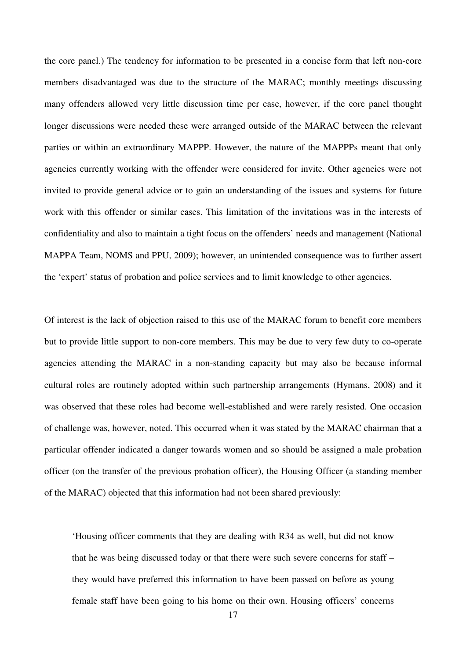the core panel.) The tendency for information to be presented in a concise form that left non-core members disadvantaged was due to the structure of the MARAC; monthly meetings discussing many offenders allowed very little discussion time per case, however, if the core panel thought longer discussions were needed these were arranged outside of the MARAC between the relevant parties or within an extraordinary MAPPP. However, the nature of the MAPPPs meant that only agencies currently working with the offender were considered for invite. Other agencies were not invited to provide general advice or to gain an understanding of the issues and systems for future work with this offender or similar cases. This limitation of the invitations was in the interests of confidentiality and also to maintain a tight focus on the offenders' needs and management (National MAPPA Team, NOMS and PPU, 2009); however, an unintended consequence was to further assert the 'expert' status of probation and police services and to limit knowledge to other agencies.

Of interest is the lack of objection raised to this use of the MARAC forum to benefit core members but to provide little support to non-core members. This may be due to very few duty to co-operate agencies attending the MARAC in a non-standing capacity but may also be because informal cultural roles are routinely adopted within such partnership arrangements (Hymans, 2008) and it was observed that these roles had become well-established and were rarely resisted. One occasion of challenge was, however, noted. This occurred when it was stated by the MARAC chairman that a particular offender indicated a danger towards women and so should be assigned a male probation officer (on the transfer of the previous probation officer), the Housing Officer (a standing member of the MARAC) objected that this information had not been shared previously:

'Housing officer comments that they are dealing with R34 as well, but did not know that he was being discussed today or that there were such severe concerns for staff – they would have preferred this information to have been passed on before as young female staff have been going to his home on their own. Housing officers' concerns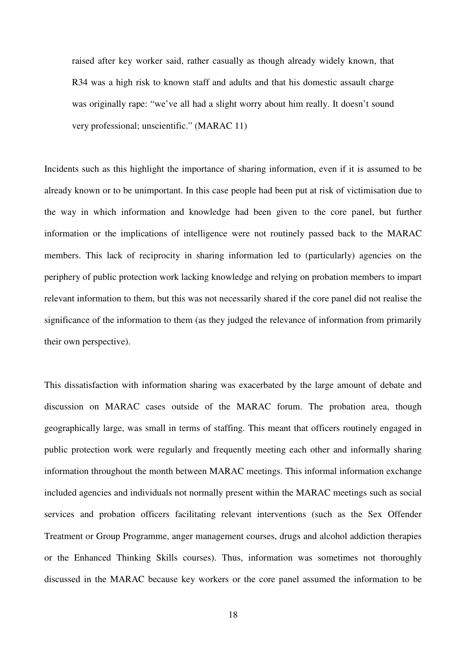raised after key worker said, rather casually as though already widely known, that R34 was a high risk to known staff and adults and that his domestic assault charge was originally rape: "we've all had a slight worry about him really. It doesn't sound very professional; unscientific." (MARAC 11)

Incidents such as this highlight the importance of sharing information, even if it is assumed to be already known or to be unimportant. In this case people had been put at risk of victimisation due to the way in which information and knowledge had been given to the core panel, but further information or the implications of intelligence were not routinely passed back to the MARAC members. This lack of reciprocity in sharing information led to (particularly) agencies on the periphery of public protection work lacking knowledge and relying on probation members to impart relevant information to them, but this was not necessarily shared if the core panel did not realise the significance of the information to them (as they judged the relevance of information from primarily their own perspective).

This dissatisfaction with information sharing was exacerbated by the large amount of debate and discussion on MARAC cases outside of the MARAC forum. The probation area, though geographically large, was small in terms of staffing. This meant that officers routinely engaged in public protection work were regularly and frequently meeting each other and informally sharing information throughout the month between MARAC meetings. This informal information exchange included agencies and individuals not normally present within the MARAC meetings such as social services and probation officers facilitating relevant interventions (such as the Sex Offender Treatment or Group Programme, anger management courses, drugs and alcohol addiction therapies or the Enhanced Thinking Skills courses). Thus, information was sometimes not thoroughly discussed in the MARAC because key workers or the core panel assumed the information to be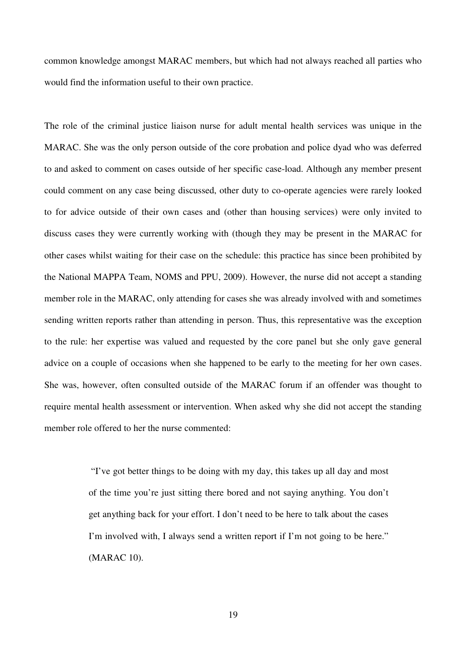common knowledge amongst MARAC members, but which had not always reached all parties who would find the information useful to their own practice.

The role of the criminal justice liaison nurse for adult mental health services was unique in the MARAC. She was the only person outside of the core probation and police dyad who was deferred to and asked to comment on cases outside of her specific case-load. Although any member present could comment on any case being discussed, other duty to co-operate agencies were rarely looked to for advice outside of their own cases and (other than housing services) were only invited to discuss cases they were currently working with (though they may be present in the MARAC for other cases whilst waiting for their case on the schedule: this practice has since been prohibited by the National MAPPA Team, NOMS and PPU, 2009). However, the nurse did not accept a standing member role in the MARAC, only attending for cases she was already involved with and sometimes sending written reports rather than attending in person. Thus, this representative was the exception to the rule: her expertise was valued and requested by the core panel but she only gave general advice on a couple of occasions when she happened to be early to the meeting for her own cases. She was, however, often consulted outside of the MARAC forum if an offender was thought to require mental health assessment or intervention. When asked why she did not accept the standing member role offered to her the nurse commented:

> "I've got better things to be doing with my day, this takes up all day and most of the time you're just sitting there bored and not saying anything. You don't get anything back for your effort. I don't need to be here to talk about the cases I'm involved with, I always send a written report if I'm not going to be here." (MARAC 10).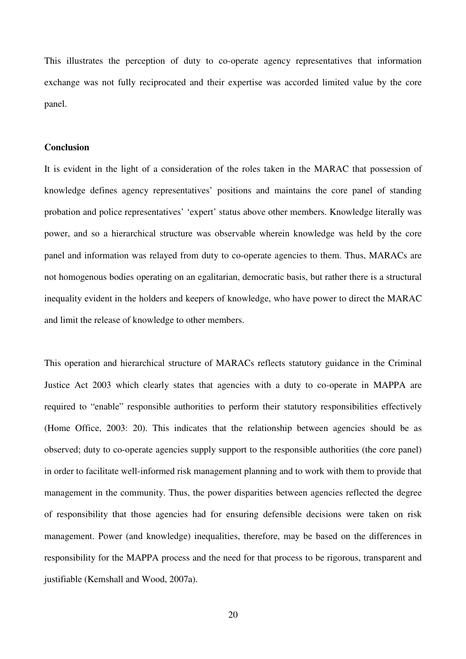This illustrates the perception of duty to co-operate agency representatives that information exchange was not fully reciprocated and their expertise was accorded limited value by the core panel.

### **Conclusion**

It is evident in the light of a consideration of the roles taken in the MARAC that possession of knowledge defines agency representatives' positions and maintains the core panel of standing probation and police representatives' 'expert' status above other members. Knowledge literally was power, and so a hierarchical structure was observable wherein knowledge was held by the core panel and information was relayed from duty to co-operate agencies to them. Thus, MARACs are not homogenous bodies operating on an egalitarian, democratic basis, but rather there is a structural inequality evident in the holders and keepers of knowledge, who have power to direct the MARAC and limit the release of knowledge to other members.

This operation and hierarchical structure of MARACs reflects statutory guidance in the Criminal Justice Act 2003 which clearly states that agencies with a duty to co-operate in MAPPA are required to "enable" responsible authorities to perform their statutory responsibilities effectively (Home Office, 2003: 20). This indicates that the relationship between agencies should be as observed; duty to co-operate agencies supply support to the responsible authorities (the core panel) in order to facilitate well-informed risk management planning and to work with them to provide that management in the community. Thus, the power disparities between agencies reflected the degree of responsibility that those agencies had for ensuring defensible decisions were taken on risk management. Power (and knowledge) inequalities, therefore, may be based on the differences in responsibility for the MAPPA process and the need for that process to be rigorous, transparent and justifiable (Kemshall and Wood, 2007a).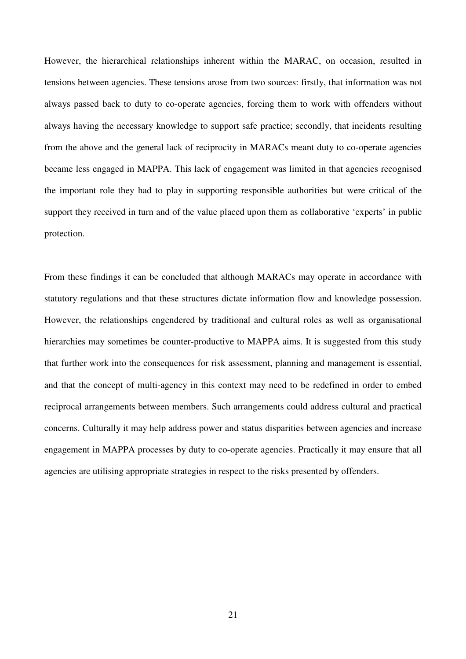However, the hierarchical relationships inherent within the MARAC, on occasion, resulted in tensions between agencies. These tensions arose from two sources: firstly, that information was not always passed back to duty to co-operate agencies, forcing them to work with offenders without always having the necessary knowledge to support safe practice; secondly, that incidents resulting from the above and the general lack of reciprocity in MARACs meant duty to co-operate agencies became less engaged in MAPPA. This lack of engagement was limited in that agencies recognised the important role they had to play in supporting responsible authorities but were critical of the support they received in turn and of the value placed upon them as collaborative 'experts' in public protection.

From these findings it can be concluded that although MARACs may operate in accordance with statutory regulations and that these structures dictate information flow and knowledge possession. However, the relationships engendered by traditional and cultural roles as well as organisational hierarchies may sometimes be counter-productive to MAPPA aims. It is suggested from this study that further work into the consequences for risk assessment, planning and management is essential, and that the concept of multi-agency in this context may need to be redefined in order to embed reciprocal arrangements between members. Such arrangements could address cultural and practical concerns. Culturally it may help address power and status disparities between agencies and increase engagement in MAPPA processes by duty to co-operate agencies. Practically it may ensure that all agencies are utilising appropriate strategies in respect to the risks presented by offenders.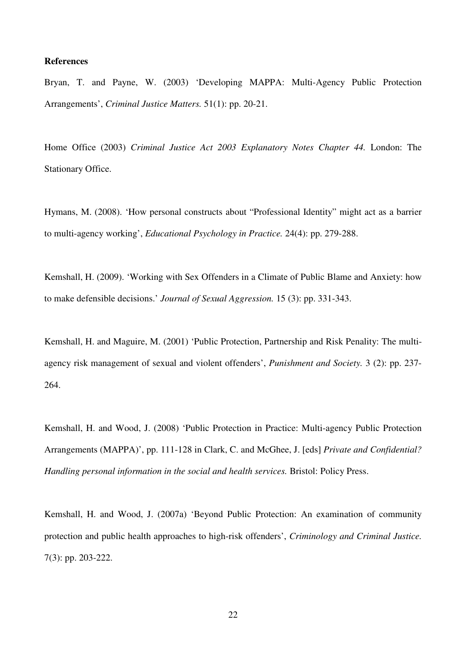# **References**

Bryan, T. and Payne, W. (2003) 'Developing MAPPA: Multi-Agency Public Protection Arrangements', *Criminal Justice Matters.* 51(1): pp. 20-21.

Home Office (2003) *Criminal Justice Act 2003 Explanatory Notes Chapter 44.* London: The Stationary Office.

Hymans, M. (2008). 'How personal constructs about "Professional Identity" might act as a barrier to multi-agency working', *Educational Psychology in Practice.* 24(4): pp. 279-288.

Kemshall, H. (2009). 'Working with Sex Offenders in a Climate of Public Blame and Anxiety: how to make defensible decisions.' *Journal of Sexual Aggression.* 15 (3): pp. 331-343.

Kemshall, H. and Maguire, M. (2001) 'Public Protection, Partnership and Risk Penality: The multiagency risk management of sexual and violent offenders', *Punishment and Society.* 3 (2): pp. 237- 264.

Kemshall, H. and Wood, J. (2008) 'Public Protection in Practice: Multi-agency Public Protection Arrangements (MAPPA)', pp. 111-128 in Clark, C. and McGhee, J. [eds] *Private and Confidential? Handling personal information in the social and health services.* Bristol: Policy Press.

Kemshall, H. and Wood, J. (2007a) 'Beyond Public Protection: An examination of community protection and public health approaches to high-risk offenders', *Criminology and Criminal Justice.*  7(3): pp. 203-222.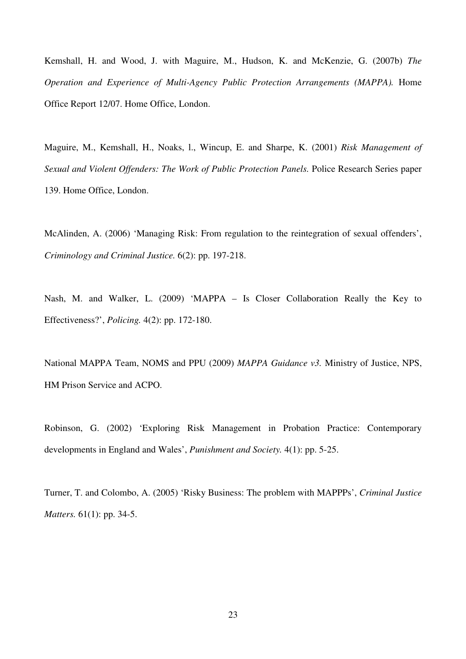Kemshall, H. and Wood, J. with Maguire, M., Hudson, K. and McKenzie, G. (2007b) *The Operation and Experience of Multi-Agency Public Protection Arrangements (MAPPA).* Home Office Report 12/07. Home Office, London.

Maguire, M., Kemshall, H., Noaks, l., Wincup, E. and Sharpe, K. (2001) *Risk Management of Sexual and Violent Offenders: The Work of Public Protection Panels.* Police Research Series paper 139. Home Office, London.

McAlinden, A. (2006) 'Managing Risk: From regulation to the reintegration of sexual offenders', *Criminology and Criminal Justice.* 6(2): pp. 197-218.

Nash, M. and Walker, L. (2009) 'MAPPA – Is Closer Collaboration Really the Key to Effectiveness?', *Policing.* 4(2): pp. 172-180.

National MAPPA Team, NOMS and PPU (2009) *MAPPA Guidance v3.* Ministry of Justice, NPS, HM Prison Service and ACPO.

Robinson, G. (2002) 'Exploring Risk Management in Probation Practice: Contemporary developments in England and Wales', *Punishment and Society.* 4(1): pp. 5-25.

Turner, T. and Colombo, A. (2005) 'Risky Business: The problem with MAPPPs', *Criminal Justice Matters.* 61(1): pp. 34-5.